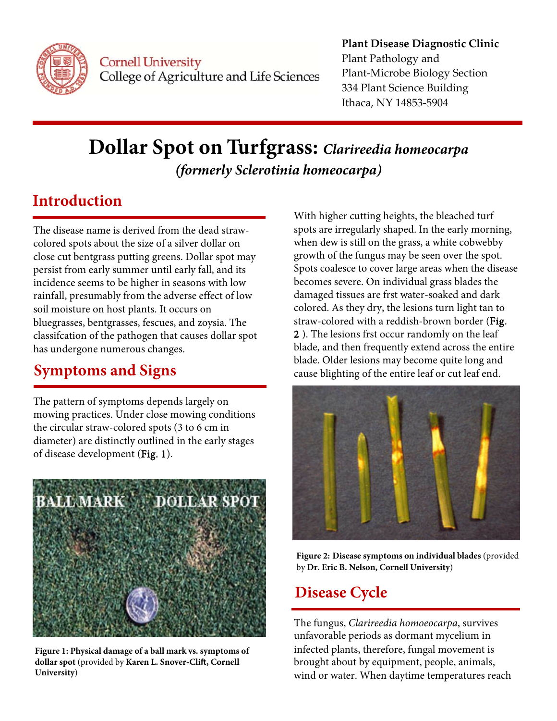

**Cornell University** College of Agriculture and Life Sciences

#### **Plant Disease Diagnostic Clinic** Plant Pathology and **Plant-Microbe Biology Section** 334 Plant Science Building Ithaca, NY 14853-5904

# Dollar Spot on Turfgrass: Clarireedia homeocarpa (formerly Sclerotinia homeocarpa)

#### **Introduction**

The disease name is derived from the dead strawcolored spots about the size of a silver dollar on close cut bentgrass putting greens. Dollar spot may persist from early summer until early fall, and its incidence seems to be higher in seasons with low rainfall, presumably from the adverse effect of low soil moisture on host plants. It occurs on bluegrasses, bentgrasses, fescues, and zoysia. The classification of the pathogen that causes dollar spot has undergone numerous changes.

## **Symptoms and Signs**

The pattern of symptoms depends largely on mowing practices. Under close mowing conditions the circular straw-colored spots (3 to 6 cm in diameter) are distinctly outlined in the early stages of disease development (Fig. 1).



Figure 1: Physical damage of a ball mark vs. symptoms of dollar spot (provided by Karen L. Snover-Clift, Cornell University)

With higher cutting heights, the bleached turf spots are irregularly shaped. In the early morning, when dew is still on the grass, a white cobwebby growth of the fungus may be seen over the spot. Spots coalesce to cover large areas when the disease becomes severe. On individual grass blades the damaged tissues are frst water-soaked and dark colored. As they dry, the lesions turn light tan to straw-colored with a reddish-brown border (Fig. 2). The lesions frst occur randomly on the leaf blade, and then frequently extend across the entire blade. Older lesions may become quite long and cause blighting of the entire leaf or cut leaf end.



Figure 2: Disease symptoms on individual blades (provided by Dr. Eric B. Nelson, Cornell University)

#### **Disease Cycle**

The fungus, Clarireedia homoeocarpa, survives unfavorable periods as dormant mycelium in infected plants, therefore, fungal movement is brought about by equipment, people, animals, wind or water. When daytime temperatures reach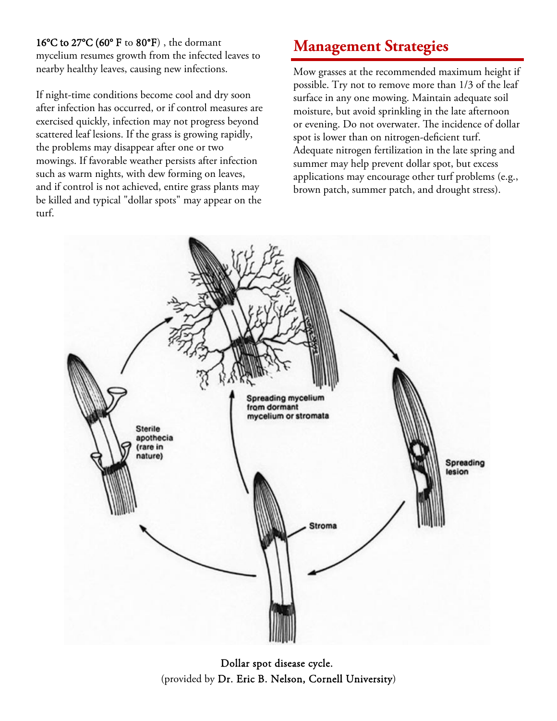16°C to 27°C (60° F to 80°F) , the dormant

mycelium resumes growth from the infected leaves to nearby healthy leaves, causing new infections.

If night-time conditions become cool and dry soon after infection has occurred, or if control measures are exercised quickly, infection may not progress beyond scattered leaf lesions. If the grass is growing rapidly, the problems may disappear after one or two mowings. If favorable weather persists after infection such as warm nights, with dew forming on leaves, and if control is not achieved, entire grass plants may be killed and typical "dollar spots" may appear on the turf.

## **Management Strategies**

Mow grasses at the recommended maximum height if possible. Try not to remove more than 1/3 of the leaf surface in any one mowing. Maintain adequate soil moisture, but avoid sprinkling in the late afternoon or evening. Do not overwater. The incidence of dollar spot is lower than on nitrogen-deficient turf. Adequate nitrogen fertilization in the late spring and summer may help prevent dollar spot, but excess applications may encourage other turf problems (e.g., brown patch, summer patch, and drought stress).



Dollar spot disease cycle. (provided by Dr. Eric B. Nelson, Cornell University)